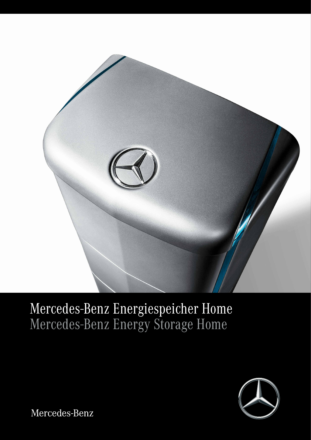

# Mercedes-Benz Energiespeicher Home Mercedes-Benz Energy Storage Home



Mercedes-Benz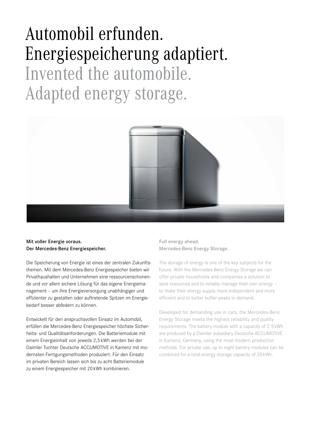# Automobil erfunden. Energiespeicherung adaptiert. Invented the automobile. Adapted energy storage.



#### Mit voller Energie voraus. Der Mercedes-Benz Energiespeicher.

Die Speicherung von Energie ist eines der zentralen Zukunftsthemen. Mit dem Mercedes-Benz Energiespeicher bieten wir Privathaushalten und Unternehmen eine ressourcenschonende und vor allem sichere Lösung für das eigene Energiemanagement – um ihre Energieversorgung unabhängiger und effizienter zu gestalten oder auftretende Spitzen im Energiebedarf besser abfedern zu können.

Entwickelt für den anspruchsvollen Einsatz im Automobil, erfüllen die Mercedes-Benz Energiespeicher höchste Sicherheits- und Qualitätsanforderungen. Die Batteriemodule mit einem Energieinhalt von jeweils 2,5 kWh werden bei der Daimler Tochter Deutsche ACCUMOTIVE in Kamenz mit modernsten Fertigungsmethoden produziert. Für den Einsatz im privaten Bereich lassen sich bis zu acht Batteriemodule zu einem Energiespeicher mit 20 kWh kombinieren.

Full energy ahead. Mercedes-Benz Energy Storage.

The storage of energy is one of the key subjects for the future. With the Mercedes-Benz Energy Storage we can offer private households and companies a solution to save resources and to reliably manage their own energy – to make their energy supply more independent and more efficient and to better buffer peaks in demand.

Developed for demanding use in cars, the Mercedes-Benz Energy Storage meets the highest reliability and quality requirements. The battery module with a capacity of 2.5 kWh are produced by a Daimler subsidiary Deutsche ACCUMOTIVE in Kamenz, Germany, using the most modern production methods. For private use, up to eight battery modules can be combined for a total energy storage capacity of 20 kWh.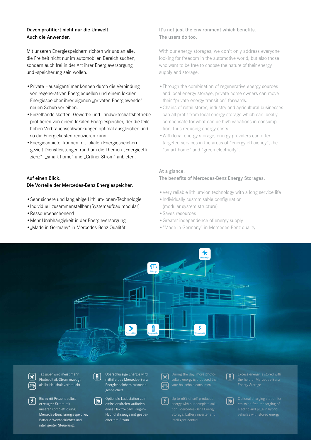#### Davon profitiert nicht nur die Umwelt. Auch die Anwender.

Mit unseren Energiespeichern richten wir uns an alle, die Freiheit nicht nur im automobilen Bereich suchen, sondern auch frei in der Art ihrer Energieversorgung und -speicherung sein wollen.

- •Private Hauseigentümer können durch die Verbindung von regenerativen Energiequellen und einem lokalen Energiespeicher ihrer eigenen "privaten Energiewende" neuen Schub verleihen.
- •Einzelhandelsketten, Gewerbe und Landwirtschaftsbetriebe profitieren von einem lokalen Energiespeicher, der die teils hohen Verbrauchsschwankungen optimal ausgleichen und so die Energiekosten reduzieren kann.
- •Energieanbieter können mit lokalen Energiespeichern gezielt Dienstleistungen rund um die Themen "Energieeffizienz", "smart home" und "Grüner Strom" anbieten.

#### Auf einen Blick. Die Vorteile der Mercedes-Benz Energiespeicher.

- •Sehr sichere und langlebige Lithium-Ionen-Technologie
- •Individuell zusammenstellbar (Systemaufbau modular)
- •Ressourcenschonend
- •Mehr Unabhängigkeit in der Energieversorgung
- •"Made in Germany" in Mercedes-Benz Qualität

#### It's not just the environment which benefits. The users do too.

With our energy storages, we don't only address everyone looking for freedom in the automotive world, but also those who want to be free to choose the nature of their energy supply and storage.

- •Through the combination of regenerative energy sources and local energy storage, private home owners can move their "private energy transition" forwards.
- •Chains of retail stores, industry and agricultural businesses can all profit from local energy storage which can ideally compensate for what can be high variations in consumption, thus reducing energy costs.
- •With local energy storage, energy providers can offer targeted services in the areas of "energy efficiency", the "smart home" and "green electricity".

#### At a glance.

#### The benefits of Mercedes-Benz Energy Storages.

- •Very reliable lithium-ion technology with a long service life
- •Individually customisable configuration (modular system structure)
- •Saves resources
- •Greater independence of energy supply
- •"Made in Germany" in Mercedes-Benz quality



Photovoltaik-Strom erzeugt als Ihr Haushalt verbraucht.

Bis zu 65 Prozent selbst erzeugter Strom mit unserer Komplettlösung: Mercedes-Benz Energiespeicher, Batterie-Wechselrichter und intelligenter Steuerung.

mithilfe des Mercedes-Benz Energiespeichers zwischengespeichert.

Optionale Ladestation zum emissionsfreien Aufladen eines Elektro- bzw. Plug-in-Hybridfahrzeugs mit gespeichertem Strom.

**E** 

tion: Mercedes-Benz Energy

intelligent control.



Optional charging station for emission-free recharging of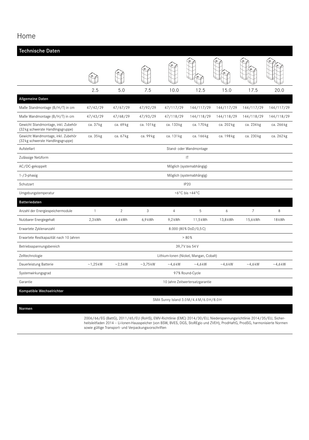### Home

| Technische Daten                                                         |                                        |                |            |                |            |            |                |            |  |  |
|--------------------------------------------------------------------------|----------------------------------------|----------------|------------|----------------|------------|------------|----------------|------------|--|--|
|                                                                          |                                        |                |            |                |            |            |                |            |  |  |
|                                                                          | 2.5                                    | 5.0            | 7.5        | 10.0           | 12.5       | 15.0       | 17.5           | 20.0       |  |  |
| <b>Allgemeine Daten</b>                                                  |                                        |                |            |                |            |            |                |            |  |  |
| Maße Standmontage (B/H/T) in cm                                          | 47/42/29                               | 47/67/29       | 47/92/29   | 47/117/29      | 144/117/29 | 144/117/29 | 144/117/29     | 144/117/29 |  |  |
| Maße Wandmontage (B/H/T) in cm                                           | 47/43/29                               | 47/68/29       | 47/93/29   | 47/118/29      | 144/118/29 | 144/118/29 | 144/118/29     | 144/118/29 |  |  |
| Gewicht Standmontage, inkl. Zubehör<br>(32 kg schwerste Handlingsgruppe) | ca. 37 kg                              | ca. 69 kg      | ca. 101 kg | ca. 133 kg     | ca. 170 kg | ca. 202 kg | ca. 234 kg     | ca. 266 kg |  |  |
| Gewicht Wandmontage, inkl. Zubehör<br>(32 kg schwerste Handlingsgruppe)  | ca. 35 kg                              | ca. 67 kg      | ca. 99 kg  | ca. 131 kg     | ca. 166 kg | ca. 198 kg | ca. 230 kg     | ca. 262 kg |  |  |
| Aufstellart                                                              | Stand- oder Wandmontage                |                |            |                |            |            |                |            |  |  |
| Zulässige Netzform                                                       | IT                                     |                |            |                |            |            |                |            |  |  |
| AC/DC-gekoppelt                                                          | Möglich (systemabhängig)               |                |            |                |            |            |                |            |  |  |
| 1-/3-phasig                                                              | Möglich (systemabhängig)               |                |            |                |            |            |                |            |  |  |
| Schutzart                                                                | IP <sub>20</sub>                       |                |            |                |            |            |                |            |  |  |
| Umgebungstemperatur                                                      | +6 $\degree$ C bis +44 $\degree$ C     |                |            |                |            |            |                |            |  |  |
| Batteriedaten                                                            |                                        |                |            |                |            |            |                |            |  |  |
| Anzahl der Energiespeichermodule                                         | $\mathbf{1}$                           | $\overline{2}$ | 3          | $\overline{4}$ | 5          | 6          | $\overline{7}$ | 8          |  |  |
| Nutzbarer Energiegehalt                                                  | $2,3$ kWh                              | 4,6 kWh        | $6,9$ kWh  | $9,2$ kWh      | 11,5 kWh   | 13,8 kWh   | 15,6 kWh       | 18 kWh     |  |  |
| Erwartete Zyklenanzahl                                                   | 8.000 (80% DoD/0,5C)                   |                |            |                |            |            |                |            |  |  |
| Erwartete Restkapazität nach 10 Jahren                                   | > 80%                                  |                |            |                |            |            |                |            |  |  |
| Betriebsspannungsbereich                                                 | 39,7V bis 54V                          |                |            |                |            |            |                |            |  |  |
| Zelltechnologie                                                          | Lithium-Ionen (Nickel, Mangan, Cobalt) |                |            |                |            |            |                |            |  |  |
| Dauerleistung Batterie                                                   | $~1,25$ kW                             | $\sim$ 2,5 kW  | $~2,75$ kW | $~14,6$ kW     | $~14,6$ kW | $~14,6$ kW | $~14,6$ kW     | $~14,6$ kW |  |  |
| Systemwirkungsgrad                                                       | 97% Round-Cycle                        |                |            |                |            |            |                |            |  |  |
| Garantie                                                                 | 10 Jahre Zeitwertersatzgarantie        |                |            |                |            |            |                |            |  |  |
| Kompatible Wechselrichter                                                |                                        |                |            |                |            |            |                |            |  |  |

SMA Sunny Island 3.0 M/4.4 M/6.0 H/8.0 H

Normen

2006/66/EG (BattG), 2011/65/EU (RoHS), EMV-Richtlinie (EMC) 2014/30/EU, Niederspannungsrichtlinie 2014/35/EU, Sicherheitsleitfaden 2014 – Li-Ionen-Hausspeicher (von BSW, BVES, DGS, StoREgio und ZVEH), ProdHaftG, ProdSG, harmonisierte Normen sowie gültige Transport- und Verpackungsvorschriften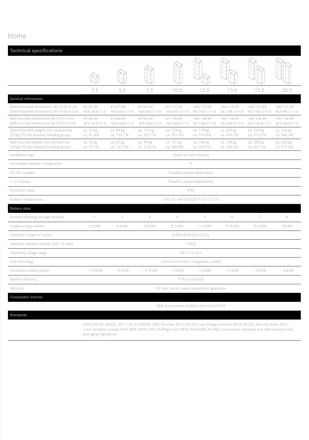## Home

| <b>Technical specifications</b>                                                    |                                             |                            |                            |                             |                              |                              |                              |                              |  |  |
|------------------------------------------------------------------------------------|---------------------------------------------|----------------------------|----------------------------|-----------------------------|------------------------------|------------------------------|------------------------------|------------------------------|--|--|
|                                                                                    |                                             |                            |                            |                             |                              |                              |                              |                              |  |  |
|                                                                                    | 2.5                                         | 5.0                        | 7.5                        | 10.0                        | 12.5                         | 15.0                         | 17.5                         | 20.0                         |  |  |
| <b>General information</b>                                                         |                                             |                            |                            |                             |                              |                              |                              |                              |  |  |
| Stand-mounted dimensions (W/H/D) in cm<br>Stand-mounted dimensions (W/H/D) in inch | 47/42/29<br>18.5/16.5/11.4                  | 47/67/29<br>18.5/26.4/11.4 | 47/92/29<br>18.5/36.2/11.4 | 47/117/29<br>18.5/46.1/11.4 | 144/117/29<br>56.7/46.1/11.4 | 144/117/29<br>56.7/46.1/11.4 | 144/117/29<br>56.7/46.1/11.4 | 144/117/29<br>56.7/46.1/11.4 |  |  |
| Wall-mounted dimensions (W/H/D) in cm<br>Wall-mounted dimensions (W/H/D) in inch   | 47/43/29<br>18.5/16.9/11.4                  | 47/68/29<br>18.5/26.8/11.4 | 47/93/29<br>18.5/36.6/11.4 | 47/118/29<br>18.5/46.5/11.4 | 144/118/29<br>56.7/46.5/11.4 | 144/118/29<br>56.7/46.5/11.4 | 144/118/29<br>56.7/46.5/11.4 | 144/118/29<br>56.7/46.5/11.4 |  |  |
| Stand-mounted weight, incl. accessories<br>(32 kg/70.5 lb heaviest handling group) | ca. 37 kg<br>ca. 81.6lb                     | ca. 69 kg<br>ca. 152.1 lb  | ca. 101 kg<br>ca. 222.7lb  | ca. 133 kg<br>ca. 293.2lb   | ca. 170 kg<br>ca. 374.8 lb   | ca. 202 kg<br>ca. 445.3lb    | ca. 234 kg<br>ca. 515.9 lb   | ca. 266 kg<br>ca. 586.4lb    |  |  |
| Wall-mounted weight, incl. accessories<br>(32 kg/70.5 lb heaviest handling group)  | ca. 35 kg<br>ca. 77.1lb                     | ca. 67 kg<br>ca. 147.7lb   | ca. 99 kg<br>ca. 218.2lb   | ca. 131 kg<br>ca. 288.8 lb  | ca. 166 kg<br>ca. 365.9 lb   | ca. 198 kg<br>ca. 436.5lb    | ca. 230 kg<br>ca. 507.1 lb   | ca. 262 kg<br>ca. 577.6lb    |  |  |
| Installation type                                                                  | Stand- or wall-mounted                      |                            |                            |                             |                              |                              |                              |                              |  |  |
| Permissible network configuration                                                  | T                                           |                            |                            |                             |                              |                              |                              |                              |  |  |
| AC/DC-coupled                                                                      | Possible (system-dependent)                 |                            |                            |                             |                              |                              |                              |                              |  |  |
| 1- or 3-phase                                                                      | Possible (system-dependent)                 |                            |                            |                             |                              |                              |                              |                              |  |  |
| Protection class                                                                   | <b>IP20</b>                                 |                            |                            |                             |                              |                              |                              |                              |  |  |
| Ambient temperature                                                                | +6°C to +44°C/42.8 °F to 111.2 °F           |                            |                            |                             |                              |                              |                              |                              |  |  |
| Battery data                                                                       |                                             |                            |                            |                             |                              |                              |                              |                              |  |  |
| Number of energy storage modules                                                   | $\mathbf{1}$                                | $\mathbf{2}$               | 3                          | $\overline{4}$              | 5                            | 6                            | 7                            | 8                            |  |  |
| Usable energy content                                                              | $2.3$ kWh                                   | 4.6 kWh                    | $6.9$ kWh                  | $9.2$ kWh                   | 11.5 kWh                     | 13.8 kWh                     | 15.6 kWh                     | 18 kWh                       |  |  |
| Expected number of cycles                                                          | 8,000 (80% DoD/0,5C)                        |                            |                            |                             |                              |                              |                              |                              |  |  |
| Expected residual capacity after 10 years                                          | >80%                                        |                            |                            |                             |                              |                              |                              |                              |  |  |
| Operating voltage range                                                            | 39.7V to 54V                                |                            |                            |                             |                              |                              |                              |                              |  |  |
| Cell technology                                                                    | Lithium-ion (nickel, manganese, cobalt)     |                            |                            |                             |                              |                              |                              |                              |  |  |
| Continuous battery power                                                           | $\sim$ 1.25 kW                              | $\sim$ 2.5 kW              | $~2.75$ kW                 | $~14.6$ kW                  | $~14.6$ kW                   | $~14.6$ kW                   | $~14.6$ kW                   | $~14.6$ kW                   |  |  |
| System efficiency                                                                  | 97% round cycle                             |                            |                            |                             |                              |                              |                              |                              |  |  |
| Warranty                                                                           | 10-year current value replacement guarantee |                            |                            |                             |                              |                              |                              |                              |  |  |
| Compatible inverter                                                                |                                             |                            |                            |                             |                              |                              |                              |                              |  |  |

SMA Sunny Island 3.0 M/4.4 M/6.0 H/8.0 H

Standards

2006/66/EG (BattG), 2011/65/EU (RoHS), EMC Directive 2014/30/EU, Low-Voltage Directive 2014/35/EU, Security Guide 2014 – Li-Ion domestic storage (from BSW, BVES, DGS, StoREgio and ZVEH), ProdHaftG, ProdSG, harmonised standards and valid transport and packaging regulations